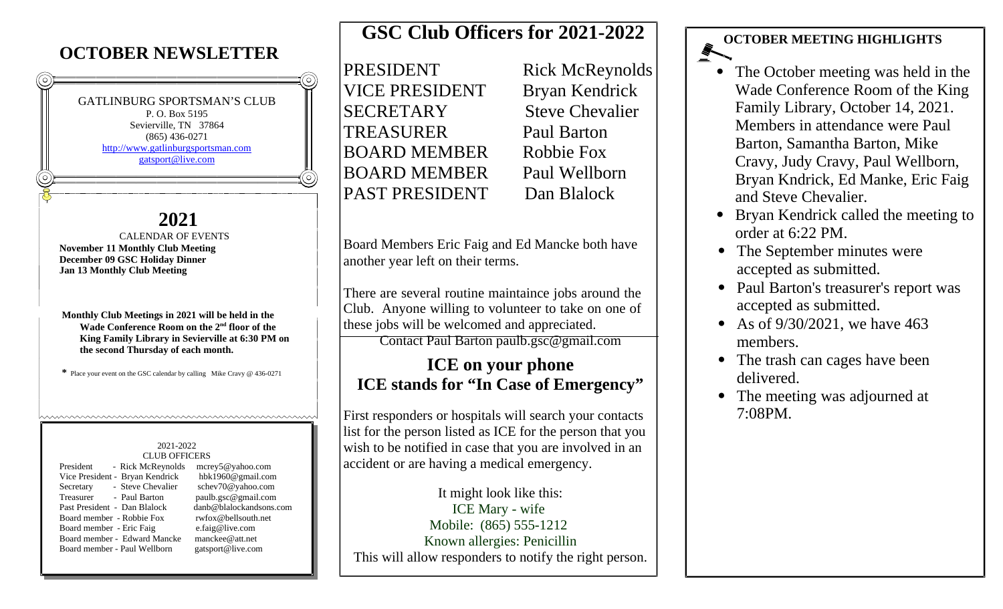#### **OCTOBER NEWSLETTER**

GATLINBURG SPORTSMAN'S CLUB P. O. Box 5195 Sevierville, TN 37864 (865) 436-0271 http://www.gatlinburgsportsman.com gatsport@live.com

#### **2021**

CALENDAR OF EVENTS **November 11 Monthly Club Meeting December 09 GSC Holiday Dinner Jan 13 Monthly Club Meeting**

**Monthly Club Meetings in 2021 will be held in the Wade Conference Room on the 2nd floor of the King Family Library in Sevierville at 6:30 PM on the second Thursday of each month.**

**\*** Place your event on the GSC calendar by calling Mike Cravy @ 436-0271

www.www.www.www.www.www.www.www.www.w

#### 2021-2022 CLUB OFFICERS

President - Rick McReynolds mcrey5@yahoo.com Vice President - Bryan Kendrick hbk1960@gmail.com Secretary - Steve Chevalier schev70@yahoo.com<br>Treasurer - Paul Barton paulb.gsc@gmail.com Treasurer - Paul Barton paulb.gsc@gmail.com Past President - Dan Blalock danb@blalockandsons.com Board member - Robbie Fox rwfox@bellsouth.net Board member - Eric Faig e.faig@live.com Board member - Edward Mancke manckee@att.net Board member - Paul Wellborn gatsport@live.com

### **GSC Club Officers for 2021-2022**

PRESIDENT Rick McReynolds VICE PRESIDENT Bryan Kendrick SECRETARY Steve Chevalier TREASURER Paul Barton BOARD MEMBER Robbie Fox BOARD MEMBER Paul Wellborn PAST PRESIDENT Dan Blalock

Board Members Eric Faig and Ed Mancke both have another year left on their terms.

There are several routine maintaince jobs around the Club. Anyone willing to volunteer to take on one of these jobs will be welcomed and appreciated.

Contact Paul Barton paulb.gsc@gmail.com

#### **ICE on your phone ICE stands for "In Case of Emergency"**

First responders or hospitals will search your contacts list for the person listed as ICE for the person that you wish to be notified in case that you are involved in an accident or are having a medical emergency.

It might look like this: ICE Mary - wife Mobile: (865) 555-1212 Known allergies: Penicillin This will allow responders to notify the right person.

#### **OCTOBER MEETING HIGHLIGHTS**

- The October meeting was held in the Wade Conference Room of the King Family Library, October 14, 2021. Members in attendance were Paul Barton, Samantha Barton, Mike Cravy, Judy Cravy, Paul Wellborn, Bryan Kndrick, Ed Manke, Eric Faig and Steve Chevalier.
- Bryan Kendrick called the meeting to order at 6:22 PM.
- The September minutes were accepted as submitted.
- Paul Barton's treasurer's report was accepted as submitted.
- As of 9/30/2021, we have 463 members.
- The trash can cages have been delivered.
- The meeting was adjourned at 7:08PM.